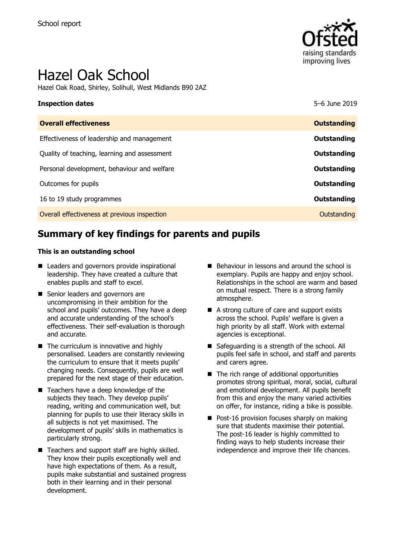

# Hazel Oak School

Hazel Oak Road, Shirley, Solihull, West Midlands B90 2AZ

| <b>Inspection dates</b>                      | 5-6 June 2019      |
|----------------------------------------------|--------------------|
| <b>Overall effectiveness</b>                 | <b>Outstanding</b> |
| Effectiveness of leadership and management   | Outstanding        |
| Quality of teaching, learning and assessment | <b>Outstanding</b> |
| Personal development, behaviour and welfare  | Outstanding        |
| Outcomes for pupils                          | Outstanding        |
| 16 to 19 study programmes                    | <b>Outstanding</b> |
| Overall effectiveness at previous inspection | Outstanding        |

# **Summary of key findings for parents and pupils**

#### **This is an outstanding school**

- Leaders and governors provide inspirational leadership. They have created a culture that enables pupils and staff to excel.
- Senior leaders and governors are uncompromising in their ambition for the school and pupils' outcomes. They have a deep and accurate understanding of the school's effectiveness. Their self-evaluation is thorough and accurate.
- The curriculum is innovative and highly personalised. Leaders are constantly reviewing the curriculum to ensure that it meets pupils' changing needs. Consequently, pupils are well prepared for the next stage of their education.
- Teachers have a deep knowledge of the subjects they teach. They develop pupils' reading, writing and communication well, but planning for pupils to use their literacy skills in all subjects is not yet maximised. The development of pupils' skills in mathematics is particularly strong.
- Teachers and support staff are highly skilled. They know their pupils exceptionally well and have high expectations of them. As a result, pupils make substantial and sustained progress both in their learning and in their personal development.
- Behaviour in lessons and around the school is exemplary. Pupils are happy and enjoy school. Relationships in the school are warm and based on mutual respect. There is a strong family atmosphere.
- A strong culture of care and support exists across the school. Pupils' welfare is given a high priority by all staff. Work with external agencies is exceptional.
- Safeguarding is a strength of the school. All pupils feel safe in school, and staff and parents and carers agree.
- The rich range of additional opportunities promotes strong spiritual, moral, social, cultural and emotional development. All pupils benefit from this and enjoy the many varied activities on offer, for instance, riding a bike is possible.
- Post-16 provision focuses sharply on making sure that students maximise their potential. The post-16 leader is highly committed to finding ways to help students increase their independence and improve their life chances.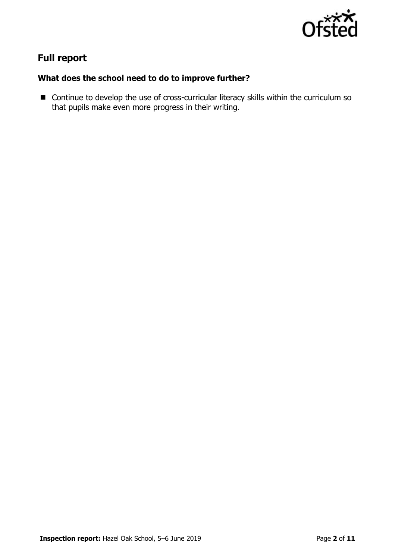

# **Full report**

### **What does the school need to do to improve further?**

■ Continue to develop the use of cross-curricular literacy skills within the curriculum so that pupils make even more progress in their writing.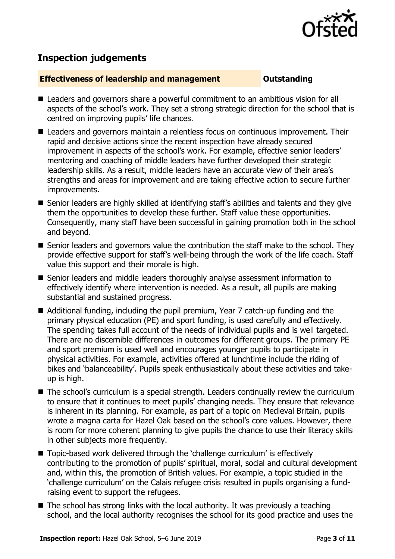

# **Inspection judgements**

#### **Effectiveness of leadership and management Constanding**

- Leaders and governors share a powerful commitment to an ambitious vision for all aspects of the school's work. They set a strong strategic direction for the school that is centred on improving pupils' life chances.
- Leaders and governors maintain a relentless focus on continuous improvement. Their rapid and decisive actions since the recent inspection have already secured improvement in aspects of the school's work. For example, effective senior leaders' mentoring and coaching of middle leaders have further developed their strategic leadership skills. As a result, middle leaders have an accurate view of their area's strengths and areas for improvement and are taking effective action to secure further improvements.
- Senior leaders are highly skilled at identifying staff's abilities and talents and they give them the opportunities to develop these further. Staff value these opportunities. Consequently, many staff have been successful in gaining promotion both in the school and beyond.
- Senior leaders and governors value the contribution the staff make to the school. They provide effective support for staff's well-being through the work of the life coach. Staff value this support and their morale is high.
- Senior leaders and middle leaders thoroughly analyse assessment information to effectively identify where intervention is needed. As a result, all pupils are making substantial and sustained progress.
- Additional funding, including the pupil premium, Year 7 catch-up funding and the primary physical education (PE) and sport funding, is used carefully and effectively. The spending takes full account of the needs of individual pupils and is well targeted. There are no discernible differences in outcomes for different groups. The primary PE and sport premium is used well and encourages younger pupils to participate in physical activities. For example, activities offered at lunchtime include the riding of bikes and 'balanceability'. Pupils speak enthusiastically about these activities and takeup is high.
- The school's curriculum is a special strength. Leaders continually review the curriculum to ensure that it continues to meet pupils' changing needs. They ensure that relevance is inherent in its planning. For example, as part of a topic on Medieval Britain, pupils wrote a magna carta for Hazel Oak based on the school's core values. However, there is room for more coherent planning to give pupils the chance to use their literacy skills in other subjects more frequently.
- Topic-based work delivered through the 'challenge curriculum' is effectively contributing to the promotion of pupils' spiritual, moral, social and cultural development and, within this, the promotion of British values. For example, a topic studied in the 'challenge curriculum' on the Calais refugee crisis resulted in pupils organising a fundraising event to support the refugees.
- $\blacksquare$  The school has strong links with the local authority. It was previously a teaching school, and the local authority recognises the school for its good practice and uses the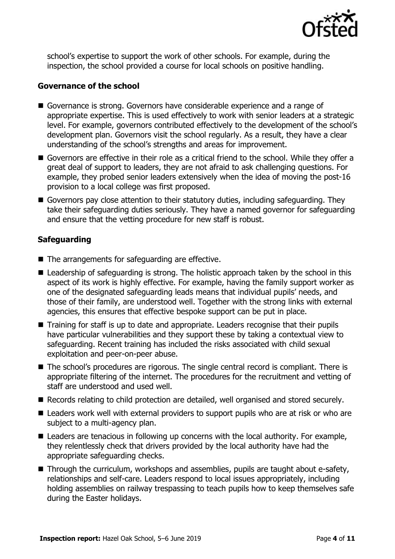

school's expertise to support the work of other schools. For example, during the inspection, the school provided a course for local schools on positive handling.

#### **Governance of the school**

- Governance is strong. Governors have considerable experience and a range of appropriate expertise. This is used effectively to work with senior leaders at a strategic level. For example, governors contributed effectively to the development of the school's development plan. Governors visit the school regularly. As a result, they have a clear understanding of the school's strengths and areas for improvement.
- Governors are effective in their role as a critical friend to the school. While they offer a great deal of support to leaders, they are not afraid to ask challenging questions. For example, they probed senior leaders extensively when the idea of moving the post-16 provision to a local college was first proposed.
- Governors pay close attention to their statutory duties, including safeguarding. They take their safeguarding duties seriously. They have a named governor for safeguarding and ensure that the vetting procedure for new staff is robust.

### **Safeguarding**

- The arrangements for safeguarding are effective.
- Leadership of safeguarding is strong. The holistic approach taken by the school in this aspect of its work is highly effective. For example, having the family support worker as one of the designated safeguarding leads means that individual pupils' needs, and those of their family, are understood well. Together with the strong links with external agencies, this ensures that effective bespoke support can be put in place.
- Training for staff is up to date and appropriate. Leaders recognise that their pupils have particular vulnerabilities and they support these by taking a contextual view to safeguarding. Recent training has included the risks associated with child sexual exploitation and peer-on-peer abuse.
- The school's procedures are rigorous. The single central record is compliant. There is appropriate filtering of the internet. The procedures for the recruitment and vetting of staff are understood and used well.
- Records relating to child protection are detailed, well organised and stored securely.
- Leaders work well with external providers to support pupils who are at risk or who are subject to a multi-agency plan.
- Leaders are tenacious in following up concerns with the local authority. For example, they relentlessly check that drivers provided by the local authority have had the appropriate safeguarding checks.
- Through the curriculum, workshops and assemblies, pupils are taught about e-safety, relationships and self-care. Leaders respond to local issues appropriately, including holding assemblies on railway trespassing to teach pupils how to keep themselves safe during the Easter holidays.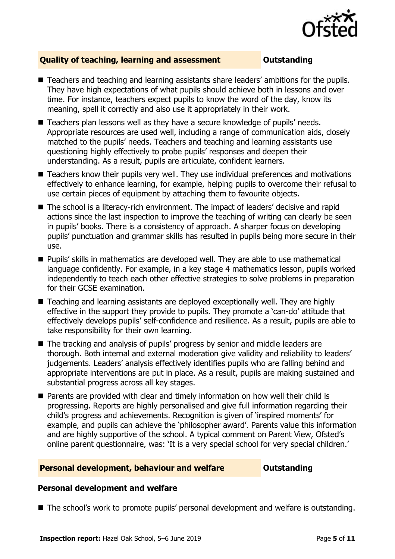

### **Quality of teaching, learning and assessment Outstanding**

- **Teachers and teaching and learning assistants share leaders' ambitions for the pupils.** They have high expectations of what pupils should achieve both in lessons and over time. For instance, teachers expect pupils to know the word of the day, know its meaning, spell it correctly and also use it appropriately in their work.
- Teachers plan lessons well as they have a secure knowledge of pupils' needs. Appropriate resources are used well, including a range of communication aids, closely matched to the pupils' needs. Teachers and teaching and learning assistants use questioning highly effectively to probe pupils' responses and deepen their understanding. As a result, pupils are articulate, confident learners.
- Teachers know their pupils very well. They use individual preferences and motivations effectively to enhance learning, for example, helping pupils to overcome their refusal to use certain pieces of equipment by attaching them to favourite objects.
- The school is a literacy-rich environment. The impact of leaders' decisive and rapid actions since the last inspection to improve the teaching of writing can clearly be seen in pupils' books. There is a consistency of approach. A sharper focus on developing pupils' punctuation and grammar skills has resulted in pupils being more secure in their use.
- Pupils' skills in mathematics are developed well. They are able to use mathematical language confidently. For example, in a key stage 4 mathematics lesson, pupils worked independently to teach each other effective strategies to solve problems in preparation for their GCSE examination.
- Teaching and learning assistants are deploved exceptionally well. They are highly effective in the support they provide to pupils. They promote a 'can-do' attitude that effectively develops pupils' self-confidence and resilience. As a result, pupils are able to take responsibility for their own learning.
- The tracking and analysis of pupils' progress by senior and middle leaders are thorough. Both internal and external moderation give validity and reliability to leaders' judgements. Leaders' analysis effectively identifies pupils who are falling behind and appropriate interventions are put in place. As a result, pupils are making sustained and substantial progress across all key stages.
- Parents are provided with clear and timely information on how well their child is progressing. Reports are highly personalised and give full information regarding their child's progress and achievements. Recognition is given of 'inspired moments' for example, and pupils can achieve the 'philosopher award'. Parents value this information and are highly supportive of the school. A typical comment on Parent View, Ofsted's online parent questionnaire, was: 'It is a very special school for very special children.'

#### **Personal development, behaviour and welfare <b>COU COULDANGE COULD COULD A** DUCT

#### **Personal development and welfare**

■ The school's work to promote pupils' personal development and welfare is outstanding.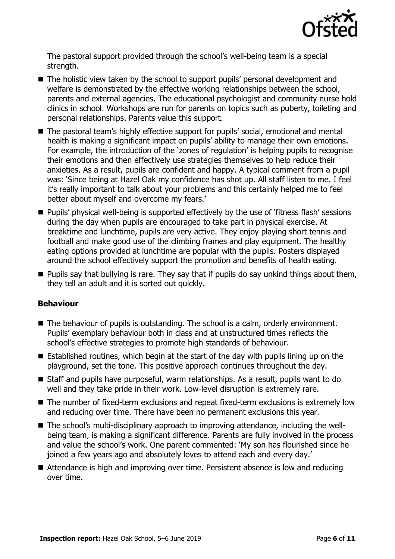

The pastoral support provided through the school's well-being team is a special strength.

- The holistic view taken by the school to support pupils' personal development and welfare is demonstrated by the effective working relationships between the school, parents and external agencies. The educational psychologist and community nurse hold clinics in school. Workshops are run for parents on topics such as puberty, toileting and personal relationships. Parents value this support.
- The pastoral team's highly effective support for pupils' social, emotional and mental health is making a significant impact on pupils' ability to manage their own emotions. For example, the introduction of the 'zones of regulation' is helping pupils to recognise their emotions and then effectively use strategies themselves to help reduce their anxieties. As a result, pupils are confident and happy. A typical comment from a pupil was: 'Since being at Hazel Oak my confidence has shot up. All staff listen to me. I feel it's really important to talk about your problems and this certainly helped me to feel better about myself and overcome my fears.'
- **Pupils' physical well-being is supported effectively by the use of 'fitness flash' sessions** during the day when pupils are encouraged to take part in physical exercise. At breaktime and lunchtime, pupils are very active. They enjoy playing short tennis and football and make good use of the climbing frames and play equipment. The healthy eating options provided at lunchtime are popular with the pupils. Posters displayed around the school effectively support the promotion and benefits of health eating.
- **Pupils say that bullying is rare. They say that if pupils do say unkind things about them,** they tell an adult and it is sorted out quickly.

### **Behaviour**

- The behaviour of pupils is outstanding. The school is a calm, orderly environment. Pupils' exemplary behaviour both in class and at unstructured times reflects the school's effective strategies to promote high standards of behaviour.
- $\blacksquare$  Established routines, which begin at the start of the day with pupils lining up on the playground, set the tone. This positive approach continues throughout the day.
- Staff and pupils have purposeful, warm relationships. As a result, pupils want to do well and they take pride in their work. Low-level disruption is extremely rare.
- The number of fixed-term exclusions and repeat fixed-term exclusions is extremely low and reducing over time. There have been no permanent exclusions this year.
- The school's multi-disciplinary approach to improving attendance, including the wellbeing team, is making a significant difference. Parents are fully involved in the process and value the school's work. One parent commented: 'My son has flourished since he joined a few years ago and absolutely loves to attend each and every day.'
- Attendance is high and improving over time. Persistent absence is low and reducing over time.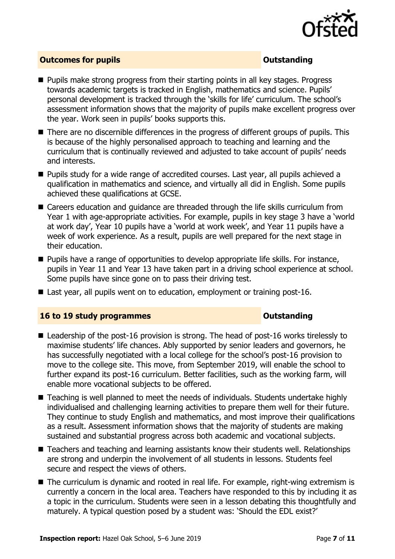

#### **Outcomes for pupils Outstanding**

- **Pupils make strong progress from their starting points in all key stages. Progress** towards academic targets is tracked in English, mathematics and science. Pupils' personal development is tracked through the 'skills for life' curriculum. The school's assessment information shows that the majority of pupils make excellent progress over the year. Work seen in pupils' books supports this.
- There are no discernible differences in the progress of different groups of pupils. This is because of the highly personalised approach to teaching and learning and the curriculum that is continually reviewed and adjusted to take account of pupils' needs and interests.
- **Pupils study for a wide range of accredited courses. Last year, all pupils achieved a** qualification in mathematics and science, and virtually all did in English. Some pupils achieved these qualifications at GCSE.
- Careers education and guidance are threaded through the life skills curriculum from Year 1 with age-appropriate activities. For example, pupils in key stage 3 have a 'world at work day', Year 10 pupils have a 'world at work week', and Year 11 pupils have a week of work experience. As a result, pupils are well prepared for the next stage in their education.
- $\blacksquare$  Pupils have a range of opportunities to develop appropriate life skills. For instance, pupils in Year 11 and Year 13 have taken part in a driving school experience at school. Some pupils have since gone on to pass their driving test.
- Last year, all pupils went on to education, employment or training post-16.

#### **16 to 19 study programmes Distances Outstanding**

- Leadership of the post-16 provision is strong. The head of post-16 works tirelessly to maximise students' life chances. Ably supported by senior leaders and governors, he has successfully negotiated with a local college for the school's post-16 provision to move to the college site. This move, from September 2019, will enable the school to further expand its post-16 curriculum. Better facilities, such as the working farm, will enable more vocational subjects to be offered.
- Teaching is well planned to meet the needs of individuals. Students undertake highly individualised and challenging learning activities to prepare them well for their future. They continue to study English and mathematics, and most improve their qualifications as a result. Assessment information shows that the majority of students are making sustained and substantial progress across both academic and vocational subjects.
- Teachers and teaching and learning assistants know their students well. Relationships are strong and underpin the involvement of all students in lessons. Students feel secure and respect the views of others.
- The curriculum is dynamic and rooted in real life. For example, right-wing extremism is currently a concern in the local area. Teachers have responded to this by including it as a topic in the curriculum. Students were seen in a lesson debating this thoughtfully and maturely. A typical question posed by a student was: 'Should the EDL exist?'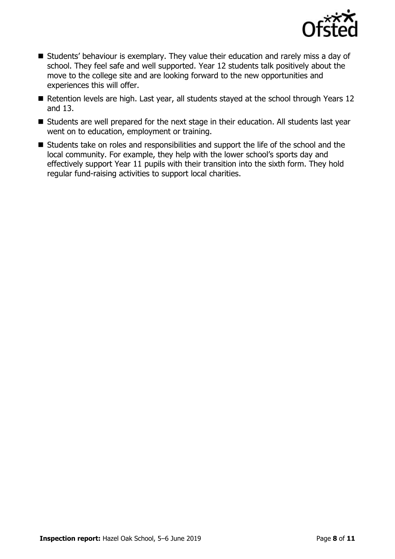

- Students' behaviour is exemplary. They value their education and rarely miss a day of school. They feel safe and well supported. Year 12 students talk positively about the move to the college site and are looking forward to the new opportunities and experiences this will offer.
- Retention levels are high. Last year, all students stayed at the school through Years 12 and 13.
- Students are well prepared for the next stage in their education. All students last year went on to education, employment or training.
- Students take on roles and responsibilities and support the life of the school and the local community. For example, they help with the lower school's sports day and effectively support Year 11 pupils with their transition into the sixth form. They hold regular fund-raising activities to support local charities.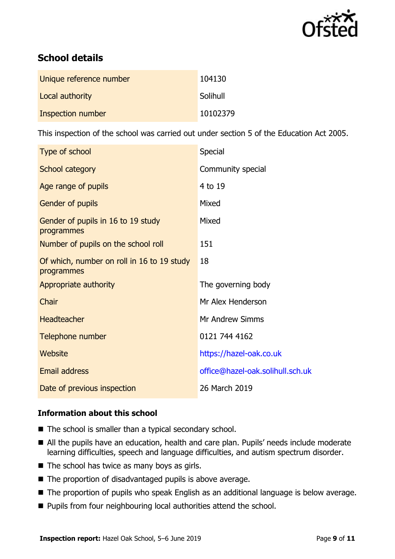

# **School details**

| Unique reference number | 104130   |
|-------------------------|----------|
| Local authority         | Solihull |
| Inspection number       | 10102379 |

This inspection of the school was carried out under section 5 of the Education Act 2005.

| Type of school                                           | Special                          |
|----------------------------------------------------------|----------------------------------|
| School category                                          | Community special                |
| Age range of pupils                                      | 4 to 19                          |
| <b>Gender of pupils</b>                                  | Mixed                            |
| Gender of pupils in 16 to 19 study<br>programmes         | Mixed                            |
| Number of pupils on the school roll                      | 151                              |
| Of which, number on roll in 16 to 19 study<br>programmes | 18                               |
| Appropriate authority                                    | The governing body               |
| Chair                                                    | Mr Alex Henderson                |
| <b>Headteacher</b>                                       | Mr Andrew Simms                  |
| Telephone number                                         | 0121 744 4162                    |
| Website                                                  | https://hazel-oak.co.uk          |
| Email address                                            | office@hazel-oak.solihull.sch.uk |
| Date of previous inspection                              | 26 March 2019                    |

### **Information about this school**

- The school is smaller than a typical secondary school.
- All the pupils have an education, health and care plan. Pupils' needs include moderate learning difficulties, speech and language difficulties, and autism spectrum disorder.
- $\blacksquare$  The school has twice as many boys as girls.
- $\blacksquare$  The proportion of disadvantaged pupils is above average.
- The proportion of pupils who speak English as an additional language is below average.
- **Pupils from four neighbouring local authorities attend the school.**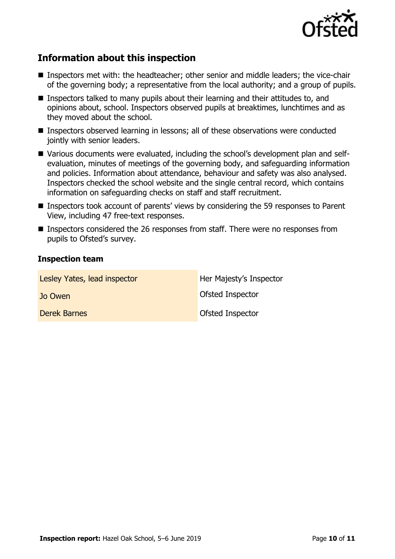

# **Information about this inspection**

- **Inspectors met with: the headteacher; other senior and middle leaders; the vice-chair** of the governing body; a representative from the local authority; and a group of pupils.
- **Inspectors talked to many pupils about their learning and their attitudes to, and** opinions about, school. Inspectors observed pupils at breaktimes, lunchtimes and as they moved about the school.
- Inspectors observed learning in lessons; all of these observations were conducted jointly with senior leaders.
- Various documents were evaluated, including the school's development plan and selfevaluation, minutes of meetings of the governing body, and safeguarding information and policies. Information about attendance, behaviour and safety was also analysed. Inspectors checked the school website and the single central record, which contains information on safeguarding checks on staff and staff recruitment.
- Inspectors took account of parents' views by considering the 59 responses to Parent View, including 47 free-text responses.
- Inspectors considered the 26 responses from staff. There were no responses from pupils to Ofsted's survey.

#### **Inspection team**

| Lesley Yates, lead inspector | Her Majesty's Inspector |
|------------------------------|-------------------------|
| Jo Owen                      | <b>Ofsted Inspector</b> |
| <b>Derek Barnes</b>          | <b>Ofsted Inspector</b> |